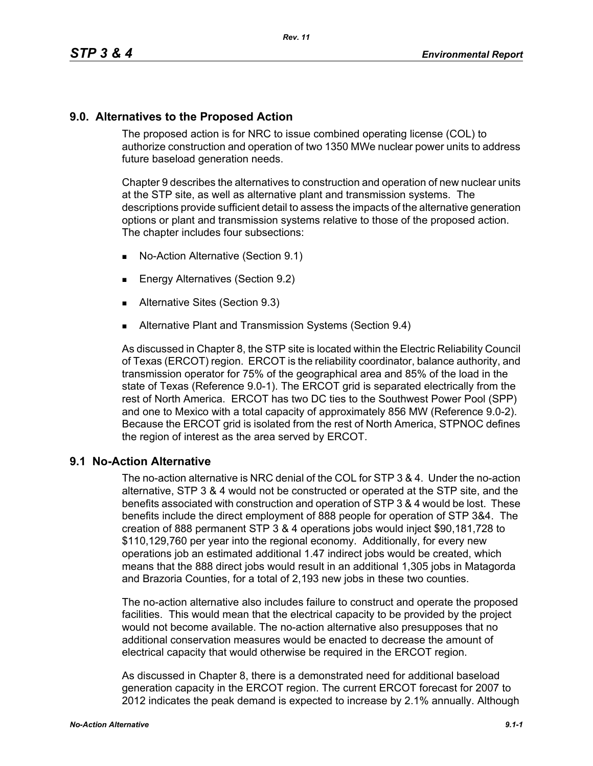## **9.0. Alternatives to the Proposed Action**

The proposed action is for NRC to issue combined operating license (COL) to authorize construction and operation of two 1350 MWe nuclear power units to address future baseload generation needs.

Chapter 9 describes the alternatives to construction and operation of new nuclear units at the STP site, as well as alternative plant and transmission systems. The descriptions provide sufficient detail to assess the impacts of the alternative generation options or plant and transmission systems relative to those of the proposed action. The chapter includes four subsections:

- No-Action Alternative (Section 9.1)
- **Energy Alternatives (Section 9.2)**
- **Alternative Sites (Section 9.3)**
- **Alternative Plant and Transmission Systems (Section 9.4)**

As discussed in Chapter 8, the STP site is located within the Electric Reliability Council of Texas (ERCOT) region. ERCOT is the reliability coordinator, balance authority, and transmission operator for 75% of the geographical area and 85% of the load in the state of Texas (Reference 9.0-1). The ERCOT grid is separated electrically from the rest of North America. ERCOT has two DC ties to the Southwest Power Pool (SPP) and one to Mexico with a total capacity of approximately 856 MW (Reference 9.0-2). Because the ERCOT grid is isolated from the rest of North America, STPNOC defines the region of interest as the area served by ERCOT.

## **9.1 No-Action Alternative**

The no-action alternative is NRC denial of the COL for STP 3 & 4. Under the no-action alternative, STP 3 & 4 would not be constructed or operated at the STP site, and the benefits associated with construction and operation of STP 3 & 4 would be lost. These benefits include the direct employment of 888 people for operation of STP 3&4. The creation of 888 permanent STP 3 & 4 operations jobs would inject \$90,181,728 to \$110,129,760 per year into the regional economy. Additionally, for every new operations job an estimated additional 1.47 indirect jobs would be created, which means that the 888 direct jobs would result in an additional 1,305 jobs in Matagorda and Brazoria Counties, for a total of 2,193 new jobs in these two counties.

The no-action alternative also includes failure to construct and operate the proposed facilities. This would mean that the electrical capacity to be provided by the project would not become available. The no-action alternative also presupposes that no additional conservation measures would be enacted to decrease the amount of electrical capacity that would otherwise be required in the ERCOT region.

As discussed in Chapter 8, there is a demonstrated need for additional baseload generation capacity in the ERCOT region. The current ERCOT forecast for 2007 to 2012 indicates the peak demand is expected to increase by 2.1% annually. Although